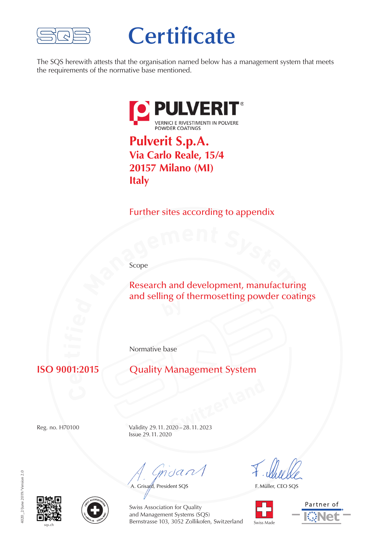

## **Certificate**

The SQS herewith attests that the organisation named below has a management system that meets the requirements of the normative base mentioned.



**Via Carlo Reale, 15/4 20157 Milano (MI) Italy**

Further sites according to appendix

Scope

**e**<br>**Research and development, manufacturing<br>and selling of thermosetting powder coating**  $\mathcal{P}$ Research and development, manufacturing and selling of thermosetting powder coatings

Normative base

**e** 。<br>01∙′

**Quality Management System** 

**Switzerland** Reg. no. H70100 Validity 29.11. 2020 –28.11. 2023 Issue 29.11. 2020

mdan

A. Grisard, President SQS

F. Müller, CEO SQS









Swiss Association for Quality and Management Systems (SQS) Bernstrasse 103, 3052 Zollikofen, Switzerland